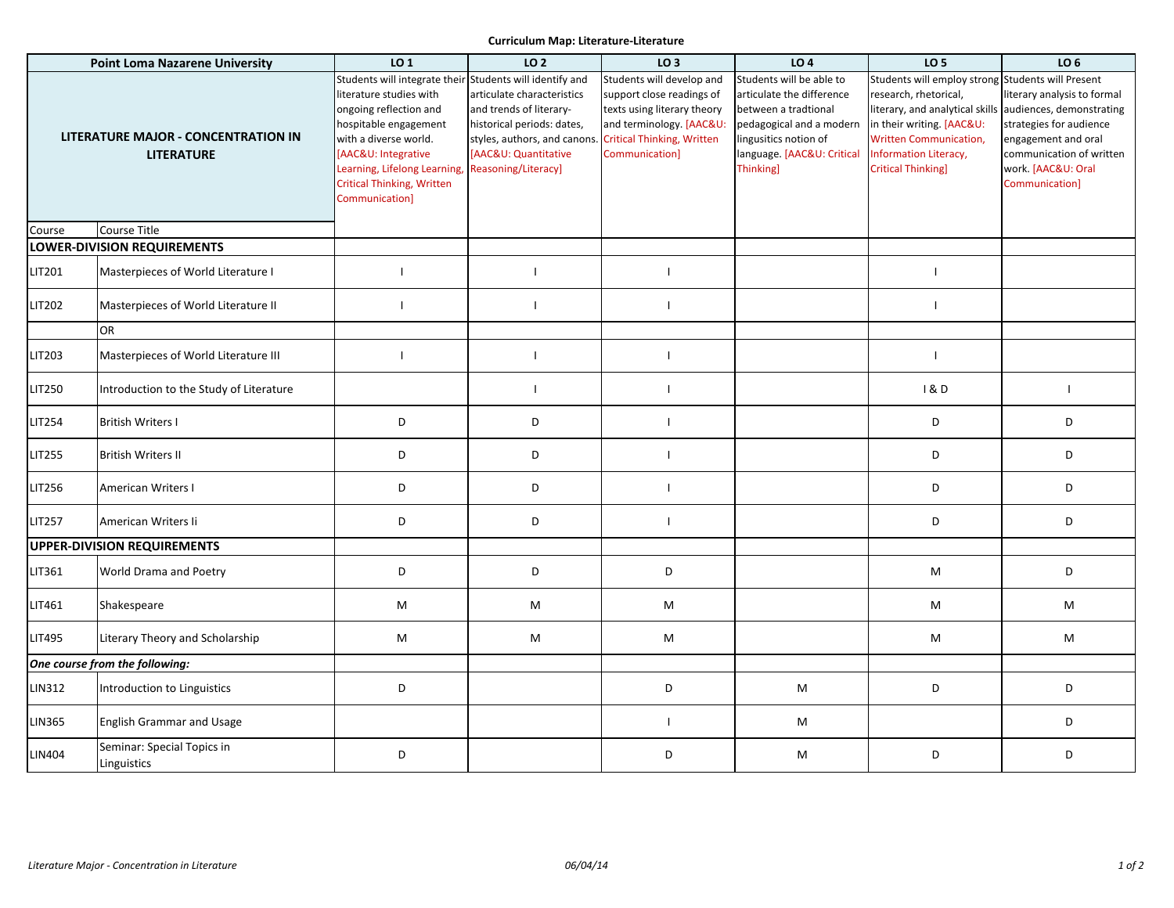## **Curriculum Map: Literature-Literature**

| <b>Point Loma Nazarene University</b>                           |                                           | LO 1                                                                                                                                                                                                                                                                         | LO 2                                                                                                                                                              | LO <sub>3</sub>                                                                                                                                                          | LO <sub>4</sub>                                                                                                                                                               | LO <sub>5</sub>                                                                                                                                                                                                                   | LO <sub>6</sub>                                                                                                                                                               |
|-----------------------------------------------------------------|-------------------------------------------|------------------------------------------------------------------------------------------------------------------------------------------------------------------------------------------------------------------------------------------------------------------------------|-------------------------------------------------------------------------------------------------------------------------------------------------------------------|--------------------------------------------------------------------------------------------------------------------------------------------------------------------------|-------------------------------------------------------------------------------------------------------------------------------------------------------------------------------|-----------------------------------------------------------------------------------------------------------------------------------------------------------------------------------------------------------------------------------|-------------------------------------------------------------------------------------------------------------------------------------------------------------------------------|
| <b>LITERATURE MAJOR - CONCENTRATION IN</b><br><b>LITERATURE</b> |                                           | Students will integrate their Students will identify and<br>literature studies with<br>ongoing reflection and<br>hospitable engagement<br>with a diverse world.<br>[AAC&U: Integrative<br>Learning, Lifelong Learning<br><b>Critical Thinking, Written</b><br>Communication] | articulate characteristics<br>and trends of literary-<br>historical periods: dates,<br>styles, authors, and canons<br>[AAC&U: Quantitative<br>Reasoning/Literacy] | Students will develop and<br>support close readings of<br>texts using literary theory<br>and terminology. [AAC&U:<br><b>Critical Thinking, Written</b><br>Communication] | Students will be able to<br>articulate the difference<br>between a tradtional<br>pedagogical and a modern<br>lingusitics notion of<br>language. [AAC&U: Critical<br>Thinking] | Students will employ strong Students will Present<br>research, rhetorical,<br>literary, and analytical skills<br>in their writing. [AAC&U:<br>Written Communication,<br><b>Information Literacy,</b><br><b>Critical Thinking]</b> | literary analysis to formal<br>audiences, demonstrating<br>strategies for audience<br>engagement and oral<br>communication of written<br>work. [AAC&U: Oral<br>Communication] |
| Course                                                          | Course Title                              |                                                                                                                                                                                                                                                                              |                                                                                                                                                                   |                                                                                                                                                                          |                                                                                                                                                                               |                                                                                                                                                                                                                                   |                                                                                                                                                                               |
| <b>LOWER-DIVISION REQUIREMENTS</b>                              |                                           |                                                                                                                                                                                                                                                                              |                                                                                                                                                                   |                                                                                                                                                                          |                                                                                                                                                                               |                                                                                                                                                                                                                                   |                                                                                                                                                                               |
| LIT201                                                          | Masterpieces of World Literature I        | $\mathbf{I}$                                                                                                                                                                                                                                                                 | $\mathbf{I}$                                                                                                                                                      | $\mathbf{I}$                                                                                                                                                             |                                                                                                                                                                               | $\overline{1}$                                                                                                                                                                                                                    |                                                                                                                                                                               |
| LIT202                                                          | Masterpieces of World Literature II       |                                                                                                                                                                                                                                                                              |                                                                                                                                                                   |                                                                                                                                                                          |                                                                                                                                                                               | $\blacksquare$                                                                                                                                                                                                                    |                                                                                                                                                                               |
|                                                                 | <b>OR</b>                                 |                                                                                                                                                                                                                                                                              |                                                                                                                                                                   |                                                                                                                                                                          |                                                                                                                                                                               |                                                                                                                                                                                                                                   |                                                                                                                                                                               |
| LIT203                                                          | Masterpieces of World Literature III      |                                                                                                                                                                                                                                                                              |                                                                                                                                                                   |                                                                                                                                                                          |                                                                                                                                                                               | $\mathbf{I}$                                                                                                                                                                                                                      |                                                                                                                                                                               |
| <b>LIT250</b>                                                   | Introduction to the Study of Literature   |                                                                                                                                                                                                                                                                              | $\mathbf{I}$                                                                                                                                                      | $\mathbf{I}$                                                                                                                                                             |                                                                                                                                                                               | <b>1&amp;D</b>                                                                                                                                                                                                                    | $\overline{1}$                                                                                                                                                                |
| <b>LIT254</b>                                                   | <b>British Writers I</b>                  | D                                                                                                                                                                                                                                                                            | D                                                                                                                                                                 | $\mathbf{I}$                                                                                                                                                             |                                                                                                                                                                               | D                                                                                                                                                                                                                                 | D                                                                                                                                                                             |
| <b>LIT255</b>                                                   | <b>British Writers II</b>                 | D                                                                                                                                                                                                                                                                            | D                                                                                                                                                                 | $\mathbf{I}$                                                                                                                                                             |                                                                                                                                                                               | D                                                                                                                                                                                                                                 | D                                                                                                                                                                             |
| LIT256                                                          | American Writers I                        | D                                                                                                                                                                                                                                                                            | D                                                                                                                                                                 |                                                                                                                                                                          |                                                                                                                                                                               | D                                                                                                                                                                                                                                 | D                                                                                                                                                                             |
| <b>LIT257</b>                                                   | American Writers Ii                       | D                                                                                                                                                                                                                                                                            | D                                                                                                                                                                 | $\mathbf{I}$                                                                                                                                                             |                                                                                                                                                                               | D                                                                                                                                                                                                                                 | D                                                                                                                                                                             |
|                                                                 | <b>UPPER-DIVISION REQUIREMENTS</b>        |                                                                                                                                                                                                                                                                              |                                                                                                                                                                   |                                                                                                                                                                          |                                                                                                                                                                               |                                                                                                                                                                                                                                   |                                                                                                                                                                               |
| LIT361                                                          | World Drama and Poetry                    | D                                                                                                                                                                                                                                                                            | D                                                                                                                                                                 | D                                                                                                                                                                        |                                                                                                                                                                               | M                                                                                                                                                                                                                                 | D                                                                                                                                                                             |
| LIT461                                                          | Shakespeare                               | M                                                                                                                                                                                                                                                                            | M                                                                                                                                                                 | M                                                                                                                                                                        |                                                                                                                                                                               | M                                                                                                                                                                                                                                 | M                                                                                                                                                                             |
| <b>LIT495</b>                                                   | Literary Theory and Scholarship           | M                                                                                                                                                                                                                                                                            | M                                                                                                                                                                 | M                                                                                                                                                                        |                                                                                                                                                                               | M                                                                                                                                                                                                                                 | M                                                                                                                                                                             |
| One course from the following:                                  |                                           |                                                                                                                                                                                                                                                                              |                                                                                                                                                                   |                                                                                                                                                                          |                                                                                                                                                                               |                                                                                                                                                                                                                                   |                                                                                                                                                                               |
| <b>LIN312</b>                                                   | Introduction to Linguistics               | D                                                                                                                                                                                                                                                                            |                                                                                                                                                                   | D                                                                                                                                                                        | M                                                                                                                                                                             | D                                                                                                                                                                                                                                 | D                                                                                                                                                                             |
| <b>LIN365</b>                                                   | <b>English Grammar and Usage</b>          |                                                                                                                                                                                                                                                                              |                                                                                                                                                                   | $\mathbf{I}$                                                                                                                                                             | M                                                                                                                                                                             |                                                                                                                                                                                                                                   | D                                                                                                                                                                             |
| <b>LIN404</b>                                                   | Seminar: Special Topics in<br>Linguistics | D                                                                                                                                                                                                                                                                            |                                                                                                                                                                   | D                                                                                                                                                                        | M                                                                                                                                                                             | D                                                                                                                                                                                                                                 | D                                                                                                                                                                             |